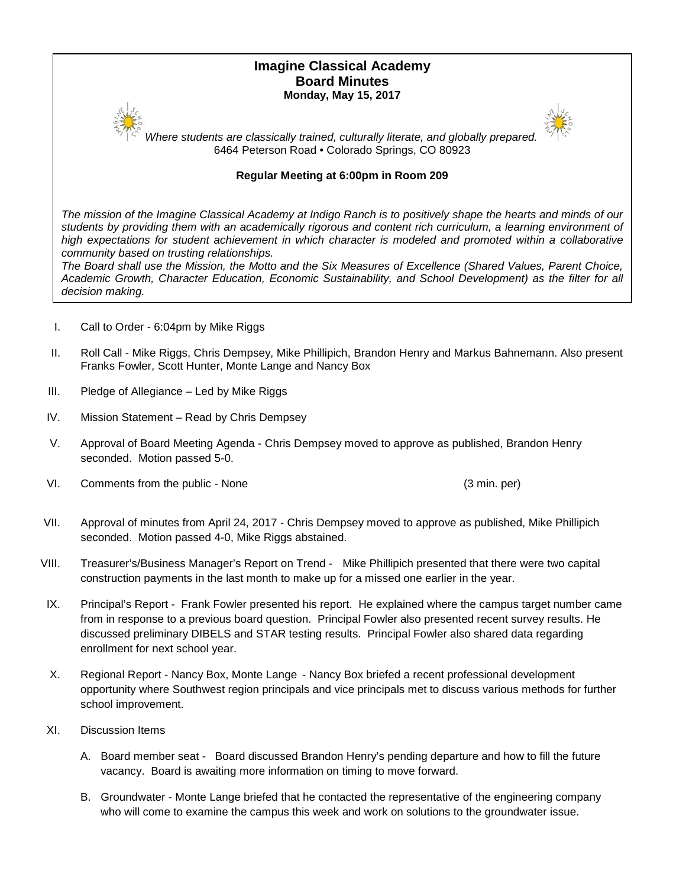# **Imagine Classical Academy Board Minutes Monday, May 15, 2017**



*Where students are classically trained, culturally literate, and globally prepared.* 6464 Peterson Road • Colorado Springs, CO 80923

# **Regular Meeting at 6:00pm in Room 209**

*The mission of the Imagine Classical Academy at Indigo Ranch is to positively shape the hearts and minds of our*  students by providing them with an academically rigorous and content rich curriculum, a learning environment of high expectations for student achievement in which character is modeled and promoted within a collaborative *community based on trusting relationships.*

*The Board shall use the Mission, the Motto and the Six Measures of Excellence (Shared Values, Parent Choice, Academic Growth, Character Education, Economic Sustainability, and School Development) as the filter for all decision making.*

- I. Call to Order 6:04pm by Mike Riggs
- II. Roll Call Mike Riggs, Chris Dempsey, Mike Phillipich, Brandon Henry and Markus Bahnemann. Also present Franks Fowler, Scott Hunter, Monte Lange and Nancy Box
- III. Pledge of Allegiance Led by Mike Riggs
- IV. Mission Statement Read by Chris Dempsey
- V. Approval of Board Meeting Agenda Chris Dempsey moved to approve as published, Brandon Henry seconded. Motion passed 5-0.
- VI. Comments from the public None (3 min. per)

- VII. Approval of minutes from April 24, 2017 Chris Dempsey moved to approve as published, Mike Phillipich seconded. Motion passed 4-0, Mike Riggs abstained.
- VIII. Treasurer's/Business Manager's Report on Trend Mike Phillipich presented that there were two capital construction payments in the last month to make up for a missed one earlier in the year.
- IX. Principal's Report Frank Fowler presented his report. He explained where the campus target number came from in response to a previous board question. Principal Fowler also presented recent survey results. He discussed preliminary DIBELS and STAR testing results. Principal Fowler also shared data regarding enrollment for next school year.
- X. Regional Report Nancy Box, Monte Lange Nancy Box briefed a recent professional development opportunity where Southwest region principals and vice principals met to discuss various methods for further school improvement.
- XI. Discussion Items
	- A. Board member seat Board discussed Brandon Henry's pending departure and how to fill the future vacancy. Board is awaiting more information on timing to move forward.
	- B. Groundwater Monte Lange briefed that he contacted the representative of the engineering company who will come to examine the campus this week and work on solutions to the groundwater issue.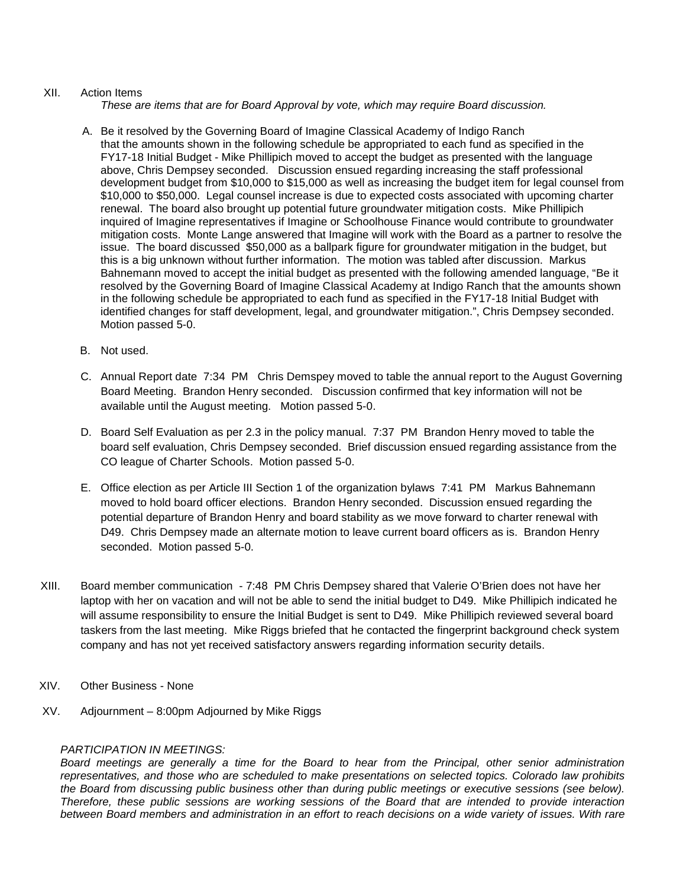### XII. Action Items

*These are items that are for Board Approval by vote, which may require Board discussion.*

- A. Be it resolved by the Governing Board of Imagine Classical Academy of Indigo Ranch that the amounts shown in the following schedule be appropriated to each fund as specified in the FY17-18 Initial Budget - Mike Phillipich moved to accept the budget as presented with the language above, Chris Dempsey seconded. Discussion ensued regarding increasing the staff professional development budget from \$10,000 to \$15,000 as well as increasing the budget item for legal counsel from \$10,000 to \$50,000. Legal counsel increase is due to expected costs associated with upcoming charter renewal. The board also brought up potential future groundwater mitigation costs. Mike Phillipich inquired of Imagine representatives if Imagine or Schoolhouse Finance would contribute to groundwater mitigation costs. Monte Lange answered that Imagine will work with the Board as a partner to resolve the issue. The board discussed \$50,000 as a ballpark figure for groundwater mitigation in the budget, but this is a big unknown without further information. The motion was tabled after discussion. Markus Bahnemann moved to accept the initial budget as presented with the following amended language, "Be it resolved by the Governing Board of Imagine Classical Academy at Indigo Ranch that the amounts shown in the following schedule be appropriated to each fund as specified in the FY17-18 Initial Budget with identified changes for staff development, legal, and groundwater mitigation.", Chris Dempsey seconded. Motion passed 5-0.
- B. Not used.
- C. Annual Report date 7:34 PM Chris Demspey moved to table the annual report to the August Governing Board Meeting. Brandon Henry seconded. Discussion confirmed that key information will not be available until the August meeting. Motion passed 5-0.
- D. Board Self Evaluation as per 2.3 in the policy manual. 7:37 PM Brandon Henry moved to table the board self evaluation, Chris Dempsey seconded. Brief discussion ensued regarding assistance from the CO league of Charter Schools. Motion passed 5-0.
- E. Office election as per Article III Section 1 of the organization bylaws 7:41 PM Markus Bahnemann moved to hold board officer elections. Brandon Henry seconded. Discussion ensued regarding the potential departure of Brandon Henry and board stability as we move forward to charter renewal with D49. Chris Dempsey made an alternate motion to leave current board officers as is. Brandon Henry seconded. Motion passed 5-0.
- XIII. Board member communication 7:48 PM Chris Dempsey shared that Valerie O'Brien does not have her laptop with her on vacation and will not be able to send the initial budget to D49. Mike Phillipich indicated he will assume responsibility to ensure the Initial Budget is sent to D49. Mike Phillipich reviewed several board taskers from the last meeting. Mike Riggs briefed that he contacted the fingerprint background check system company and has not yet received satisfactory answers regarding information security details.
- XIV. Other Business None
- XV. Adjournment 8:00pm Adjourned by Mike Riggs

## *PARTICIPATION IN MEETINGS:*

*Board meetings are generally a time for the Board to hear from the Principal, other senior administration representatives, and those who are scheduled to make presentations on selected topics. Colorado law prohibits the Board from discussing public business other than during public meetings or executive sessions (see below). Therefore, these public sessions are working sessions of the Board that are intended to provide interaction between Board members and administration in an effort to reach decisions on a wide variety of issues. With rare*